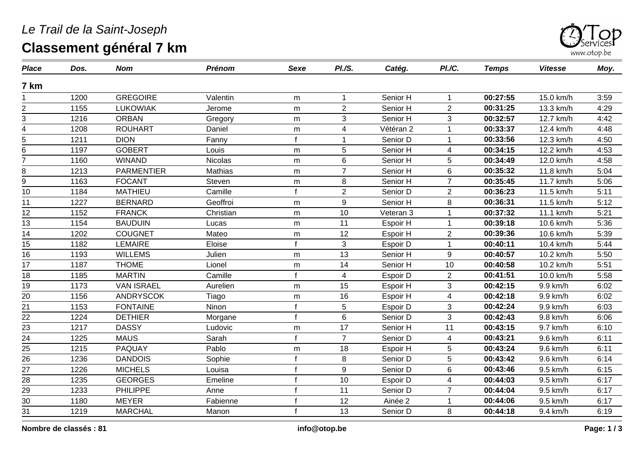## *Le Trail de la Saint-Joseph* **Classement général 7 km**



| <b>Place</b>                   | Dos. | <b>Nom</b>        | Prénom    | <b>Sexe</b>  | PI.S.                   | Catég.    | PI./C.                  | <b>Temps</b> | <b>Vitesse</b> | Moy. |
|--------------------------------|------|-------------------|-----------|--------------|-------------------------|-----------|-------------------------|--------------|----------------|------|
| 7 km                           |      |                   |           |              |                         |           |                         |              |                |      |
|                                | 1200 | <b>GREGOIRE</b>   | Valentin  | m            | 1                       | Senior H  | $\mathbf 1$             | 00:27:55     | 15.0 km/h      | 3:59 |
| $\overline{2}$                 | 1155 | <b>LUKOWIAK</b>   | Jerome    | ${\sf m}$    | $\overline{2}$          | Senior H  | $\overline{2}$          | 00:31:25     | 13.3 km/h      | 4:29 |
| 3                              | 1216 | <b>ORBAN</b>      | Gregory   | m            | 3                       | Senior H  | 3                       | 00:32:57     | 12.7 km/h      | 4:42 |
| 4                              | 1208 | <b>ROUHART</b>    | Daniel    | m            | $\overline{\mathbf{4}}$ | Vétéran 2 | 1                       | 00:33:37     | 12.4 km/h      | 4:48 |
| 5                              | 1211 | <b>DION</b>       | Fanny     | $\mathbf{f}$ | 1                       | Senior D  |                         | 00:33:56     | 12.3 km/h      | 4:50 |
| 6                              | 1197 | <b>GOBERT</b>     | Louis     | m            | 5                       | Senior H  | 4                       | 00:34:15     | 12.2 km/h      | 4:53 |
| $\overline{7}$                 | 1160 | <b>WINAND</b>     | Nicolas   | m            | $6\phantom{a}$          | Senior H  | 5                       | 00:34:49     | 12.0 km/h      | 4:58 |
| 8                              | 1213 | <b>PARMENTIER</b> | Mathias   | m            | $\overline{7}$          | Senior H  | $6\phantom{1}$          | 00:35:32     | 11.8 km/h      | 5:04 |
| 9                              | 1163 | <b>FOCANT</b>     | Steven    | ${\sf m}$    | 8                       | Senior H  | $\overline{7}$          | 00:35:45     | 11.7 km/h      | 5:06 |
| 10                             | 1184 | <b>MATHIEU</b>    | Camille   |              | $\overline{2}$          | Senior D  | $\overline{2}$          | 00:36:23     | 11.5 km/h      | 5:11 |
| 11                             | 1227 | <b>BERNARD</b>    | Geoffroi  | ${\sf m}$    | 9                       | Senior H  | 8                       | 00:36:31     | 11.5 km/h      | 5:12 |
| 12                             | 1152 | <b>FRANCK</b>     | Christian | ${\sf m}$    | 10                      | Veteran 3 |                         | 00:37:32     | 11.1 km/h      | 5:21 |
| 13                             | 1154 | <b>BAUDUIN</b>    | Lucas     | m            | 11                      | Espoir H  | 1                       | 00:39:18     | 10.6 km/h      | 5:36 |
| 14                             | 1202 | <b>COUGNET</b>    | Mateo     | m            | 12                      | Espoir H  | $\overline{2}$          | 00:39:36     | 10.6 km/h      | 5:39 |
| 15                             | 1182 | <b>LEMAIRE</b>    | Eloise    | $\mathbf{f}$ | 3                       | Espoir D  |                         | 00:40:11     | 10.4 km/h      | 5:44 |
| $\overline{16}$                | 1193 | <b>WILLEMS</b>    | Julien    | m            | 13                      | Senior H  | 9                       | 00:40:57     | 10.2 km/h      | 5:50 |
| 17                             | 1187 | <b>THOME</b>      | Lionel    | m            | 14                      | Senior H  | 10                      | 00:40:58     | 10.2 km/h      | 5:51 |
| 18                             | 1185 | <b>MARTIN</b>     | Camille   | $\mathbf{f}$ | $\overline{4}$          | Espoir D  | $\overline{2}$          | 00:41:51     | 10.0 km/h      | 5:58 |
| 19                             | 1173 | <b>VAN ISRAEL</b> | Aurelien  | m            | 15                      | Espoir H  | 3                       | 00:42:15     | 9.9 km/h       | 6:02 |
| 20                             | 1156 | <b>ANDRYSCOK</b>  | Tiago     | m            | 16                      | Espoir H  | $\overline{\mathbf{4}}$ | 00:42:18     | 9.9 km/h       | 6:02 |
| 21                             | 1153 | <b>FONTAINE</b>   | Ninon     | f            | 5                       | Espoir D  | 3                       | 00:42:24     | 9.9 km/h       | 6:03 |
| 22                             | 1224 | <b>DETHIER</b>    | Morgane   | $\mathbf{f}$ | 6                       | Senior D  | 3                       | 00:42:43     | 9.8 km/h       | 6:06 |
| $\frac{1}{23}$ $\frac{23}{24}$ | 1217 | <b>DASSY</b>      | Ludovic   | m            | $\overline{17}$         | Senior H  | $\overline{11}$         | 00:43:15     | 9.7 km/h       | 6:10 |
|                                | 1225 | <b>MAUS</b>       | Sarah     | f            | $\overline{7}$          | Senior D  | $\overline{4}$          | 00:43:21     | 9.6 km/h       | 6:11 |
| 25                             | 1215 | PAQUAY            | Pablo     | m            | 18                      | Espoir H  | 5                       | 00:43:24     | 9.6 km/h       | 6:11 |
| 26                             | 1236 | <b>DANDOIS</b>    | Sophie    | f            | 8                       | Senior D  | 5                       | 00:43:42     | 9.6 km/h       | 6:14 |
| 27                             | 1226 | <b>MICHELS</b>    | Louisa    | f            | 9                       | Senior D  | 6                       | 00:43:46     | 9.5 km/h       | 6:15 |
| 28                             | 1235 | <b>GEORGES</b>    | Emeline   |              | 10                      | Espoir D  | $\overline{4}$          | 00:44:03     | 9.5 km/h       | 6:17 |
| 29                             | 1233 | <b>PHILIPPE</b>   | Anne      |              | 11                      | Senior D  | $\overline{7}$          | 00:44:04     | 9.5 km/h       | 6:17 |
| $\overline{30}$                | 1180 | <b>MEYER</b>      | Fabienne  |              | 12                      | Ainée 2   |                         | 00:44:06     | 9.5 km/h       | 6:17 |
| 31                             | 1219 | <b>MARCHAL</b>    | Manon     | $\mathbf{f}$ | 13                      | Senior D  | 8                       | 00:44:18     | 9.4 km/h       | 6:19 |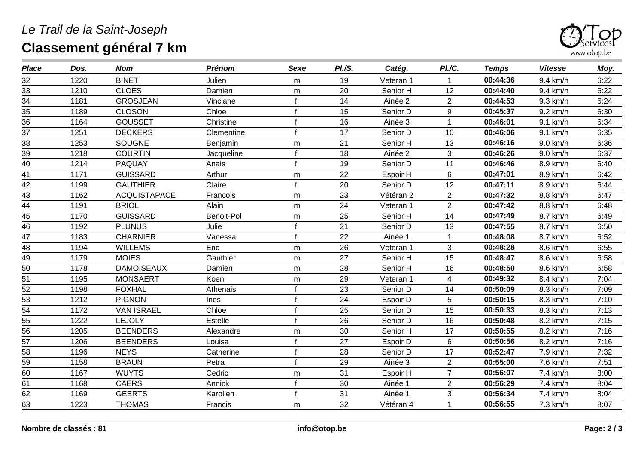## *Le Trail de la Saint-Joseph* **Classement général 7 km**



| <b>Place</b> | Dos. | <b>Nom</b>          | <b>Prénom</b> | <b>Sexe</b>  | PI./S. | Catég.    | PI.C.          | <b>Temps</b> | <b>Vitesse</b> | Moy. |
|--------------|------|---------------------|---------------|--------------|--------|-----------|----------------|--------------|----------------|------|
| 32           | 1220 | <b>BINET</b>        | Julien        | m            | 19     | Veteran 1 | 1              | 00:44:36     | 9.4 km/h       | 6:22 |
| 33           | 1210 | <b>CLOES</b>        | Damien        | m            | 20     | Senior H  | 12             | 00:44:40     | 9.4 km/h       | 6:22 |
| 34           | 1181 | <b>GROSJEAN</b>     | Vinciane      |              | 14     | Ainée 2   | $\overline{2}$ | 00:44:53     | 9.3 km/h       | 6:24 |
| 35           | 1189 | <b>CLOSON</b>       | Chloe         | f            | 15     | Senior D  | 9              | 00:45:37     | 9.2 km/h       | 6:30 |
| 36           | 1164 | <b>GOUSSET</b>      | Christine     |              | 16     | Ainée 3   | $\mathbf{1}$   | 00:46:01     | 9.1 km/h       | 6:34 |
| 37           | 1251 | <b>DECKERS</b>      | Clementine    | f            | 17     | Senior D  | 10             | 00:46:06     | 9.1 km/h       | 6:35 |
| 38           | 1253 | <b>SOUGNE</b>       | Benjamin      | m            | 21     | Senior H  | 13             | 00:46:16     | 9.0 km/h       | 6:36 |
| 39           | 1218 | <b>COURTIN</b>      | Jacqueline    | f            | 18     | Ainée 2   | 3              | 00:46:26     | 9.0 km/h       | 6:37 |
| 40           | 1214 | PAQUAY              | Anais         | f            | 19     | Senior D  | 11             | 00:46:46     | 8.9 km/h       | 6:40 |
| 41           | 1171 | <b>GUISSARD</b>     | Arthur        | m            | 22     | Espoir H  | 6              | 00:47:01     | 8.9 km/h       | 6:42 |
| 42           | 1199 | <b>GAUTHIER</b>     | Claire        | f            | 20     | Senior D  | 12             | 00:47:11     | 8.9 km/h       | 6:44 |
| 43           | 1162 | <b>ACQUISTAPACE</b> | Francois      | m            | 23     | Vétéran 2 | $\overline{2}$ | 00:47:32     | 8.8 km/h       | 6:47 |
| 44           | 1191 | <b>BRIOL</b>        | Alain         | m            | 24     | Veteran 1 | $\overline{2}$ | 00:47:42     | 8.8 km/h       | 6:48 |
| 45           | 1170 | <b>GUISSARD</b>     | Benoit-Pol    | m            | 25     | Senior H  | 14             | 00:47:49     | 8.7 km/h       | 6:49 |
| 46           | 1192 | <b>PLUNUS</b>       | Julie         | f            | 21     | Senior D  | 13             | 00:47:55     | 8.7 km/h       | 6:50 |
| 47           | 1183 | <b>CHARNIER</b>     | Vanessa       | $\mathsf{f}$ | 22     | Ainée 1   | 1              | 00:48:08     | 8.7 km/h       | 6:52 |
| 48           | 1194 | <b>WILLEMS</b>      | Eric          | m            | 26     | Veteran 1 | 3              | 00:48:28     | 8.6 km/h       | 6:55 |
| 49           | 1179 | <b>MOIES</b>        | Gauthier      | m            | 27     | Senior H  | 15             | 00:48:47     | 8.6 km/h       | 6:58 |
| 50           | 1178 | <b>DAMOISEAUX</b>   | Damien        | m            | 28     | Senior H  | 16             | 00:48:50     | 8.6 km/h       | 6:58 |
| 51           | 1195 | <b>MONSAERT</b>     | Koen          | m            | 29     | Veteran 1 | $\overline{4}$ | 00:49:32     | 8.4 km/h       | 7:04 |
| 52           | 1198 | <b>FOXHAL</b>       | Athenais      | f            | 23     | Senior D  | 14             | 00:50:09     | 8.3 km/h       | 7:09 |
| 53           | 1212 | <b>PIGNON</b>       | Ines          | f            | 24     | Espoir D  | 5              | 00:50:15     | 8.3 km/h       | 7:10 |
| 54           | 1172 | <b>VAN ISRAEL</b>   | Chloe         | f            | 25     | Senior D  | 15             | 00:50:33     | 8.3 km/h       | 7:13 |
| 55           | 1222 | <b>LEJOLY</b>       | Estelle       | f            | 26     | Senior D  | 16             | 00:50:48     | 8.2 km/h       | 7:15 |
| 56           | 1205 | <b>BEENDERS</b>     | Alexandre     | m            | 30     | Senior H  | 17             | 00:50:55     | 8.2 km/h       | 7:16 |
| 57           | 1206 | <b>BEENDERS</b>     | Louisa        | f            | 27     | Espoir D  | 6              | 00:50:56     | 8.2 km/h       | 7:16 |
| 58           | 1196 | <b>NEYS</b>         | Catherine     | f            | 28     | Senior D  | 17             | 00:52:47     | 7.9 km/h       | 7:32 |
| 59           | 1158 | <b>BRAUN</b>        | Petra         | f            | 29     | Ainée 3   | $\overline{2}$ | 00:55:00     | 7.6 km/h       | 7:51 |
| 60           | 1167 | <b>WUYTS</b>        | Cedric        | m            | 31     | Espoir H  | $\overline{7}$ | 00:56:07     | 7.4 km/h       | 8:00 |
| 61           | 1168 | <b>CAERS</b>        | Annick        | f            | 30     | Ainée 1   | $\overline{2}$ | 00:56:29     | 7.4 km/h       | 8:04 |
| 62           | 1169 | <b>GEERTS</b>       | Karolien      |              | 31     | Ainée 1   | 3              | 00:56:34     | 7.4 km/h       | 8:04 |
| 63           | 1223 | <b>THOMAS</b>       | Francis       | m            | 32     | Vétéran 4 |                | 00:56:55     | 7.3 km/h       | 8:07 |